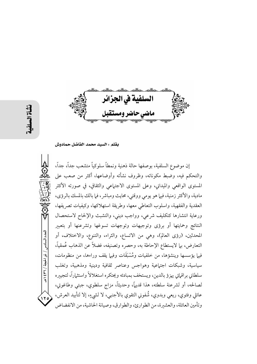

بقلم : السيد محمد الفاضل حمادوش

إن موضوع السلفية، بوصفها حالة ذهنية ونمطاً سلوكياً متشعب جداً، جداً، والتحكم فيه، وضبط مكوناته، وظروف نشأته وأوضاعها، أكثر من صعب على المستوى الواقعي والميداني، وعلى المستوى الاجتهاعي والثقافي، في صورته الأكثر مادية، والأكثر زمنية، فيها هو يومي ووقتي، محايث ومباشر، فما بالك بالمسك بالرؤى، العقدية والفقهية، واسلوب التعاطي معها، وطريقة استهلاكها، وكيفيات تصريفها، ورعاية انتشارها كتكليف شرعى، وواجب ديني، والتشبث والإلحاح لاستحصال النتائج وحمايتها أو برؤى وتوجيهات وتوجهات تسوغها وتشرعنها أو بتعبير المحدثين، (رؤى العالم)، وهي من الاتساع، والثراء، والتنوع، والاختلاف، أو التعارض، بما لايستطاع الإحاطة به، وحصره وتصنيفه، فضلاً عن الذهاب عُمقياً، فيها يؤسسها وينشؤها، من خلفيات ومُسْبَقَات وفيها يقف وراءها، من منظومات، سياسية، وشبكات اجتماعية وهواجس وعناصر ثقافية ودينية ومذهبية، وتغلب سلطاني براقياتي يهزؤ بالدين، ويستخف بمبادئه ويحتكره استغلالاً واستثماراً، لتجييره لصالحه، أو لشرعنة سلطته، هذا قديهًا، وحديثاً، مزاج سلطوي، جبتي وطاغوتي، عائلي وفئوي، ريعي وبدوي، شُفوني التقوي بالأجنبي، لا لشيءٍ، إلا لتأبيد العرش،  $17c$ وتأمين العائلة، والعشيرة، من الطوارئ، والطوارق، وصيانة الحاشية، من الانفضاض

العدد السادس / ذو الحجة / ٣٦٦ هـ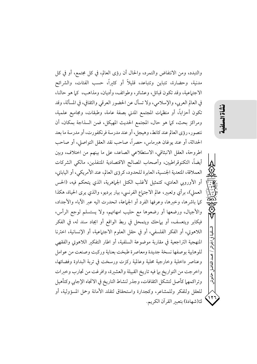والتبدد، ومن الانتفاض والتمرد، والحال أن رؤى العالم، في كل مجتمع، أو في كل مدنية، وحضارة، تتباين وتتباعد، قليلاً أو كثيراً، حسب الفئات، والشرائح الاجتهاعية، وقد تكون قبائل، وعشائر، وطوائف، وأديان، ومذاهب، كما هو حالنا، في العالم العربي، والإسلامي، ولا تسأل عن الحضور العرقي والثقافي، في المسألة، وقد تكون أحزاباً، أو منظمات المجتمع المدني بصفة عامة، وطبقات، ومجاميع علمية، ومراكز بحث، كما هو حال، المجتمع الحديث المهيكل، فمن السذاجة بمكان، أن نتصور، رؤى العالم عند كانط، وهيجل، أو عند مدرسة فرنكفورت، أو مدرسة ما بعد الحداثة، أو عند يوغان هبرماس، حصراً، صاحب نقد العقل التواصلي، أو صاحب اطروحة، العقل الانبثاقي، الاستطلاعي الصاعد، على ما بينهم من اختلاف، وبين أيضاً، التكنوقراطيين، وأصحاب المصالح الاقتصادية المتنفذين، مالكي الشركات العملاقة، المتعدية الجنسية، العابرة للحدود، كرؤى العالم، عند الأمريكي، أو الياباني، أو الأوروبي العادي، كتمثيل لأغلب الكتل الجماهرية، الذي يتحكم فيه، (الحس العملي)، برأي وتعبير، عالم الاجتهاع الفرنسي، بيار برديو، والذي يرى الحياة، هكذا كما باشرها، وخبرها، وعرفها الفرد أو الجماعة، انحدرت اليه عبر الآباء والأجداد، والأجيال، ورضعها أو رضعوها مع حليب امهاتهم، ولا يستسلم لوجع الرأس، فيكابر ويتعسف، أو يهاحك ويتمحل في ربط الواقع أو ايجاد سند له، في الفكر اللاهوتي، أو الفكر الفلسفي، أو في حقل العلوم الاجتماعية، أو الإنسانية، اخترنا المنهجية التراجعية في مقاربة موضوعة السلفية، أو اطار التفكير اللاهوتي والفقهي للوهابية بوصفها نسخة جديدة ومعاصرة طبخت بعناية وركبت وصنعت من عوامل وعناصر داخلية وخارجية محلية وعالمية ركزت ورسخت في تربة البداوة وفضائها، واخرجت من التواريخ بها فيه تاريخ القبيلة والعشيرة، وافرغت من تجارب وخبرات وتراكمهما كأصل لتشكل الثقافات، وجذر لنشاط التاريخ في الاتجاه الإجابي وكتأهيل للعقل وللفكر وللمشاعر، وكجدارة واستحقاق لتقلد الأمانة وحمل المسؤولية، أو كـ(شهادة) بتعبير القرآن الكريم.

نَشَأة السلفَيا

لسلفية في الجزائر / محمد الفاضل

ِ حمادوش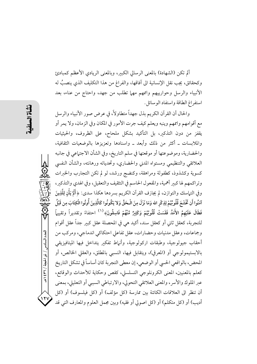ألم تكن (الشهادة) بالمعنى الرسالي الكبير، وبالمعنى الريادي الأعظم كمبادئ وكحقائق، يجب نقل الإنسانية الى آفاقها، والفراغ من هذا التكليف الذي ينصبُ له الأنبياء والرسل وحوارييهم واممهم مهما تطلب من جهد، واحتاج من عناء، بعد استفراغ الطاقة واستفاد الوسائل.

والحال أن القرآن الكريم بذل جهداً متطاولاً، في عرض صور الأنبياء والرسل مع أقوامهم واممهم وينبه ويعلم كيف جرت الأمور في المكان وفي الزمان، ولا يمر أو يقفز من دون التذكير، بل التأكيد بشكل ملحاح، على الظروف، والحيثيات والملابسات ـ أكثر من ذلك وأبعد ـ واسنادها وتعزيزها بالوضعيات الثقافية، والحضارية، وموضوعتها أو موقعتها في سلم التاريخ، وفي الشأن الاجتماعي في جانبه العلائقي والتنظيمي ومستواه المدنى والحضارى، وتحدياته ورهانته، والشأن النفسي كسوية وكشذوذ، كطفولة ومراهقة، وكنضج ورشد، لو لم تكن التجارب والخبرات وتراكمهم لها كبير أهمية، والمفعول الحاسم في التثقيف والتعقيل، وفي الهدي والتذكير، وفي التهاسك والتوازن، لم يجازف القرآن الكريم بسردها هكذا سدى: ﴿أَلَمْ يَأْنِ لِلَّذِينَ آمَنُوا أَن نَخْشَعَ قُلُوبُهُمْ لِذِكْرِ الله وَمَا نَزَلَ مِنَ الْحَقِّ وَلا يَكُونُوا كَالَّذِينَ أُوتُوا الْكِتَابَ مِن قَبْلُ فَطَالَ عَلَيْهِمُ الأَمَدُ فَقَسَتْ قُلُوبُهُمْ وَكَثِيرٌ مِّنْهُمْ فَاسِقُونَ﴾  $^{(1)}$  احتفاءً وتقديراً وتقييهاً للتجربة، كعقل ثاني أو كعقل سند، أكيد هي في المحصلة عقل كبير جداً عقل أقوام وجماعات، وعقل مدنيات وحضارات، عقل تفاعلى احتكاكي اندماجي، ومركب من أحقاب جيولوجية، وطبقات اركولوجية، وأنهاط تفكير يتداخل فيها الميتافيزيقي بالابستيمولوجي أو (المعرفي)، ويتقابل فيها، النسبي بالمطلق، والعقلي الخالص، أو المحض، بالواقعي الحسي أو الوضعي، إن معطى التجربة كان أساساً في تشكل التاريخ كعلم بالمعنيين، المعنى الكرونلوجي التسلسلي، كقص وحكاية للأحداث والوقائع، عبر الملوك والأسر، والمعنى العلائقي التحولي، والارتباطي السببي أو التعليلي، بمعنى أن تنظر الى العلاقات الكائنة بين ممارسة (كل مؤلف) أو (كل فيلسوف) أو (كل أديب) أو (كل متكلم) أو (كل اصولي أو فقيه) وبين مجمل العلوم والمعارف التي قد

العدد السادس / ذو الحجة / ٣٦٦ هـ

 $\frac{111}{11}$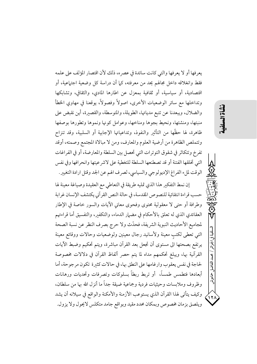يعرفها أو لا يعرفها والتي كانت سائدة في عصر ه، ذلك لأن اقتصار المؤلف على علمه فقط وانغلاقه داخل مجالهم يحد من معرفته، كما أن دراسة كل وضعية اجتهاعية، أو اقتصادية، أو سياسية، أو ثقافية بمعزل عن اطارها المادي، والثقافي، وتشابكها وتداخلها مع سائر الوضعيات الأخرى، اصولاً وفصولاً، يوقعنا في مهاوي الخطأ والضلال، ويبعدنا عن تتبع مدياتها، الطويلة، والمتوسطة، والقصيرة، أين نقبض على منبتها، ومنشئها، ونحيط بجوها ومناخها، وعوامل كونها ونموها وتطورها بوصفها ظاهرة، لها حظَّها من التأثير والنفوذ، وتداعياتها الإجابية أو السلبية، وقد تنزاح وتتملص الظاهرة من أرضية العلوم والمعارف، ومن لا مبالاة المجتمع وصمته، أوقد تفرخ وتتكاثر في شقوق التوترات التي تحصل بين السلطة والمعارضة، أو في الفراغات التي تخلقها الفتنة أو قد تصطنعها السلطة للتغطية على لاشرعيتها وانحرافها وفي نفس الوقت لملء الفراغ الإديولوجي والسياسي، لصرف الهم عن الجد وقتل ارادة التغيير.

إن نمط التفكير هذا الذي تمليه طريقة في التعاطي مع العقيدة وصياغة معينة لها حسب قراءة انتقائية للنصوص المقدسة، في حالة النص القرآني يكتشف الإنسان غرابة وطرافة أو حتى لا معقولية محتوى وفحوى معاني الآيات والسور خاصة في الإطار العقائدي الذي له تعلق بالأحكام في مضهار الدماء، والتكفير، والتفسيق أما قراءتهم لمجاميع الأحاديث النبوية الشريفة، فحدَّث ولا حرج بصرف النظر عن نسبة الصحة التي تعطى لكتبٍ معينة ولأسانيد رجال معينين ولوضعيات وحالات ووقائع معينة يرتفع بصحتها الى مستوى أن تجعل بعد القرآن مباشرة، ويتم تحكيم وضبط الآيات القرآنية بها، ويبلغ تحكمهم مداه لما يتم حصر ألفاظ القرآن في دلالات مخصوصة لحاجة في نفس يعقوب وارغامها على النطق بها، في حالات كثيرة تكون مرجوحة، أما أبعادها فتطمس طمساً، أو تربط ربطاً بسلوكات وتصرفات وتحديات ورهانات وظروف وملابسات وحيثيات فردية وجماعية ضيقة جداً ما أنزل الله بها من سلطان، وكيف يتأتى لهذا القرآن الذي يستوعب الأزمنة والأمكنة والواقع في سيلانه أن يشد ويلصق بزمان مخصوص وبمكان محدد مقيد وبواقع جامد متكلس لايحول ولا يزول.

سلفية في

压压

يحيد الفاضا

ِ خادوش

 $\lambda$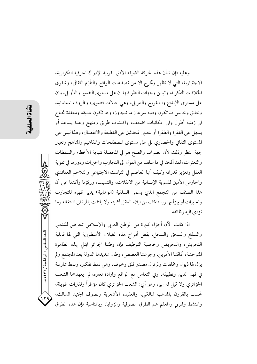العدد السادس / ذو الحيجة / ٣٦ / ٤٣٩  $15$ 

وعليه فإن شأن هذه الحركة الضيقة الأفق القريبة الإدراك الحرفية التكرارية، الاجترارية، التي لا تظهر وتخرج الا من تصدعات الواقع والتأزم الثقافي، وشقوق الخلافات الفكرية، وتباين وجهات النظر فيها ان على مستوى التفسير والتأويل، وان على مستوى الإبداع والتخريج والتنزيل، وهي حالات قصوى، وظروف استثنائية، ومخانق ومحابس قد تكون وقتية سرعان ما تتجاوز، وقد تكون عميقة ومعقدة تحتاج الى زمنية أطول والى امكانيات اضعف، واكتشاف طريق ومنهج وعدة يساعد أو يسهل على القفزة والطفرة أو بتعبير المحدثين على القطيعة والانفصال، وهذا ليس على المستوى الثقافي والحضاري بل على مستوى المصطلحات والمفاهيم والمناهج وتغيير جهة النظر وذلك لأن الصواب والصح هو في المحصلة نتيجة الأخطاء والسقطات والتعثرات، لقد ألمحنا في ما سلف من القول الى التجارب والخبرات ودورها في تقوية العقل وتعزيز قدراته وكيف أنها العاصم في التياسك الاجتياعي والتلاحم العقائدي والحارس الأمين للسوية الإنسانية من الانفلات، والتسيب، وركزنا وأكدنا على أن هذا الصنف من التجمع الذي يسمى السلفية (الوهابية) يدير ظهره للتجارب والخبرات أو يهزأ بها ويستنكف من ايلاء العقل أهميته ولا يلتفت بالمرة الى اشتغاله وما تؤدي اليه وظائفه. اذا كانت الآن أجزاء كبيرة من الوطن العربي والإسلامي تتعرض للتدمير

والسلخ والسحق والسحل، بفعل أمواج هذه الغيلان الأسطورية التي لها قابلية التحريش، والتحريض وخاصية التوظيف فإن وطننا الجزائر ابتلى بهذه الظاهرة المتوحشة، أذاقتنا الأمرين، وجرعتنا الغصص، وطال تهديدها الدولة بعد المجتمع ولم يزل لها ذيول ومخلفات ولم تزل مصدر قلق وخوف، وهي نمط تفكير، ونمط ممارسة في فهم الدين وتطبيقه، وفي التعامل مع الواقع وارادة تغيره، لم يعهدهما الشعب الجزائري ولا قبل له بهما، وهو أي: الشعب الجزائري كان مؤطراً ولفترات طويلة، تحسب بالقرون بالمذهب المالكي، والعقيدة الأشعرية وتصوف الجنيد السالك، والمنشط والمربى والمعلم هم الطرق الصوفية والزوايا، وبالمناسبة فإن هذه الطرق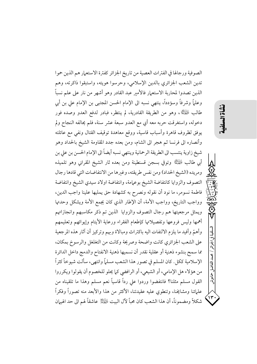الصوفية ورجالها في الفترات العصية من تاريخ الجزائر كفترة الاستعمار هم الذين حموا تدين الشعب الجزائري بالدين الإسلامي، وحرسوا هويته، واستبقوا ذاكرته، وهم الذين تصدوا لمحاربة الاستعمار فالأمير عبد القادر وهو أشهر من نار على علم نسباً وعلماً وشرفاً وسؤدداً، ينتهي نسبه الى الإمام الحسن المجتبي بن الإمام على بن أبي طالب ﷺ، وهو من الطريقة القادرية، لم ينتظر، فبادر لدفع العدو وصده فور دخوله، واستغرقت حربه معه أي مع العدو سبعة عشر سنة، فلم يحالفه النجاح ولم يوفق لظروف قاهرة وأسباب قاسية، ووقع معاهدة توقيف القتال ونفي مع عائلته وأنصاره الى فرنسا ثم هجر الى الشام، ومن بعده جدد المقاومة الشيخ بالحداد وهو شيخ زاوية ينتسب الى الطريقة الرحمانية وينتهي نسبه أيضاً الى الإمام الحسن بن على بن أبي طالب لِلْمَلِيُّ وتوفي بسجن قسنطينة ومن بعده ثار الشيخ المقراني وهو تلميذه ومريده (الشيخ الحداد) ومن نفس طريقته، وغيرها من الانتفاضات التي قادها رجال التصوف والزوايا كانتفاضة الشيخ بوعمامة، وانتفاضة اولاد سيدي الشيخ وانتفاضة فاطمة نسومر، ما نود أن نقوله ونصرح به كشهادة حق يمليها علينا واجب الدين، وواجب التاريخ، وواجب الأمة، أن الإطار الذي كان يجمع الأمة ويشكل وحدتها ويمثل مرجعيتها هم رجال التصوف والزوايا الذين تم ذكر مكاسبهم وانجازاتهم أهمها وليس فروعها وتفصيلاتها كإطعام الفقراء ورعاية الأيتام وإيوائهم وتعليمهم وأهمّ وأفيد ما يلزم الالتفات اليه باكتراث ومبالاة وبهم وتركيز أن آثار هذه المرجعية على الشعب الجزائري كانت واضحة وصريحة وكانت من التغلغل والرسوخ بمكان، مما سمح بنشوء ذهنية أو عقلية نقدر أن نسميها ذهنية الانفتاح والدمج داخل الدائرة الإسلامية ككل. كان المسلم في تصور هذا الشعب مسلماً وانتهى، سألت شيوخاً كثراً من هؤلاء هل الإمامي، أو الشيعي، أو الرافضي كما يحلو للخصوم أن يقولوا ويكرروا القول مسلم مثلنا؟ فانتفضوا وردوا علي رداً قاسياً نعم مسلم وهذا ما تلقيناه من علمائنا ومشايخنا، وتنطوي عليه عقيدتنا، الأكثر من هذا والأبعد منه تصوراً وفكراً شكلاً ومضموناً، أن هذا الشعب كان محباً لآل البيت لِمُهْتِلِمْ عاشقاً لهم الى حد الهيهان

نشأة السلف

لسلفية في الجزائر / محمد الفاضا ِ حمادوش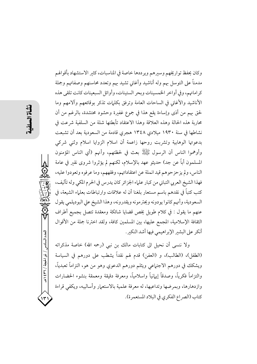وكان يحفظ تواريخهم وسيرهم ويرددها خاصة في المناسبات، كثير الاستشهاد بأقوالهم مدمناً على التوسل بهم وله أناشيد وأغاني تشيد بهم وتعدد محاسنهم وصفاتهم وجملة كراماتهم، وفي أواخر الخمسينات وبحر الستينات، وأوائل السبعينات كانت تلقى هذه الأناشيد والأغاني في الساحات العامة وترفق بكلمات تذكر بوقائعهم وآلامهم وما لحق بهم من أذى وإساءة يقع هذا في جموع غفيرة وحشود محتشدة، بالرغم من أن محاربة هذه الحالة وهذه العلاقة وهذا الاعتقاد تأبطتها شلة من السلفية شرعت في نشاطها في سنة ١٩٣٠ ميلادي ١٣٤٨ هجري قادمة من السعودية بعد أن تشبعت بدعوتها الوهابية وتشربت روحها زاعمة أن اسلام الزوايا اسلام وثنى شركى وأوهموا الناس أن الرسول ﷺ بعث في لحظتهم، وأنهم (أي الناس المؤمنون المسلمون أباً عن جد) حديثو عهد بالإسلام، لكنهم لم يؤثروا شروى نقير في عامة الناس، ولم يز حز حوهم قيد انملة عن اعتقاداتهم، وفقههم، وما عرفوه وتعودوا عليه، فهذا الشيخ العربي التباني من كبار علياء الجزائر كان يدرس في الحرم المكي وله تآليف، كتب كتباً في نقدهم باسم مستعار بلغنا أن له علاقات وارتباطات بعلماء الشيعة، في السعودية، وأنهم كانوا يودونه ويحترمونه ويقدرونه، وهذا الشيخ علي البوديلمي يقول عنهم ما يقول : في كلام طويل يخص قضايا شائكة ومعقدة تتصل بجميع أطراف الثقافة الإسلامية، المجمع عليها، بين المسلمين كافة، ولقد اخترنا جملة من الأقوال أنكر على البشير الإبراهيمي فيها أشد النكير.

ولا ننسى أن نحيل الى كتابات مالك بن نبي (رحمه الله) خاصة مذكراته (الطفل)، (الطالب)، و (العفن) قدم لهم نقداً يشطب على دورهم في السياسة ويشكك في دورهم الاجتهاعي ويثلم دورهم الدعوي وهو من هو، التزاماً تعبدياً، والتزاماً فكرياً، وصدقاً إيهانياً واسلامياً، ومعرفة دقيقة ومعمقة بنشوء الحضارات وازدهارها، وبمرضها وتداعيها، له معرفة علمية بالاستعمار وأساليبه، ويكفي قراءة كتاب (الصر اع الفكري في البلاد المستعمرة).

العدد السادس / ذو الحجة / ٣٦٦ / ه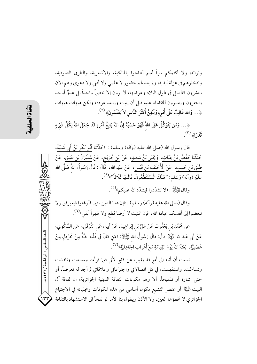وتراثه، ولا أكتمكم سراً أنهم أطاحوا بالمالكية، والأشعرية، والطرق الصوفية، وادخلوهم في عزلة أبدية، ولم يعد لهم حضور لا علمي ولا أدبي ولا دعوي وهم الآن ينتشرون كالنمل في طول البلاد وعرضها، لا يرون إلا خصهاً واحداً بل عدوٌ أوحد يتحفزون ويتنمرون للقضاء عليه قبل أن ينبت ويشتد عوده، ولكن هيهات هيهات ﴿... وَاللهُ غَالِبٌ عَلَى أَمْرِهِ وَلَكِنَّ أَكْثَرَ النَّاسِ لاَ يَعْلَمُونَ﴾ (٢).

﴿... وَمَن يَتَوَكَّلْ عَلَى اللَّهَ فَهُوَ حَسْبُهُ إِنَّ اللهَ بَالِغُ أَمْرِهِ قَدْ جَعَلَ اللهُ لِكُلِّ شَيْءٍ قَدْرًا﴾ (٣).

قال رسول الله (صلى الله عليه (وآله) وسلم) : «حَدَّثَنَا أَبُو بَكْرٍ بْنُ أَبِي شَيْبَةَ، حَلَّتَنَا حَ<u>فْصُ بْنُ غِيَاثٍ</u>، وَ<u>يَحْيَي بْنُ سَعِيدٍ</u>، عَنْ <u>ابْنِ جُرَيْجٍ</u>، عَنْ <u>سُلَيْهَانَ بْنِ عَتِيقٍ</u>، عَنْ طَلْقِ بْنِ حَبِيبٍ، عَنْ الْأَحْنَفِ بْنِ قَيْسٍ، عَنْ عَبْدِ الله، قَالَ : قَالَ رَسُولُ اللهَّ صَلَّى الله عَلَيْهِ (وآله) وَسَلم: "هَلَكَ الْمُتَنَطِّعُونَ، قَالَـهَا ثَلَاثاً"»<sup>(٤)</sup>.

وقال ﷺ : «لا تشدَّدوا فيشدَّد الله عليكم»<sup>(٥)</sup>.

وقال (صلى الله عليه (وأله) وسلم) : «إن هذا الدين متين فأوغلوا فيه برفق ولا تبغضوا إلى أنفسكم عبادة الله، فإن المنبت لا أرضا قطع ولا ظهراً أبقي»<sup>(٦)</sup>.

عن مُحَمَّدِ بْنِ يَعْقُوبَ عَنْ عَلِيٍّ بْنِ إِبْرِاهِيمَ، عَنْ أبيه، عَنِ النَّوْفَلِي، عَنِ السَّكُونِي، عَنْ أَبِي عَبدالله لِمَائِلِلٍ قالَ: قالَ رَسُولُ الله ﷺ: «مَنِ كانَ في قَلْبه حَبَّةٌ مِنْ خَرْدلٍ مِنْ عَصَبَيَّةٍ، بَعَثَهُ اللهُ يَوْمَ القِيَامَةِ مَعَ أَعْرابِ الجَاهِليَّةِ»<sup>(٧)</sup>.

نسيت أن أنبه الى أمرٍ قد يغيب عن كثيرٍ لأني فيها قرأت وسمعت وناقشت وتساءلت، واستفهمت، في كل اتصالاتي واجتهاعاتي وعلاقاتي لم أجد له تعرضاً، أو حتى اشارة أو تلميحاً، ألا وهو مكونات الثقافة الدينية الجزائرية، ان ثقافة آل البيتْ $\mathbb{R}^{\mathbb{Z}}$  أو عنصر التشيع مكون أساسي من هذه المكونات وتجلياته في الاجتهاع الجزائري لا تخطؤها العين، ولا الأذن ويطول بنا الأمر لو نلجأ الى الاستشهاد بالثقافة

العدد السادس / ذو الحجة / ٣٦ / ٤٣٩

 $\overline{\mathbf{y}}$